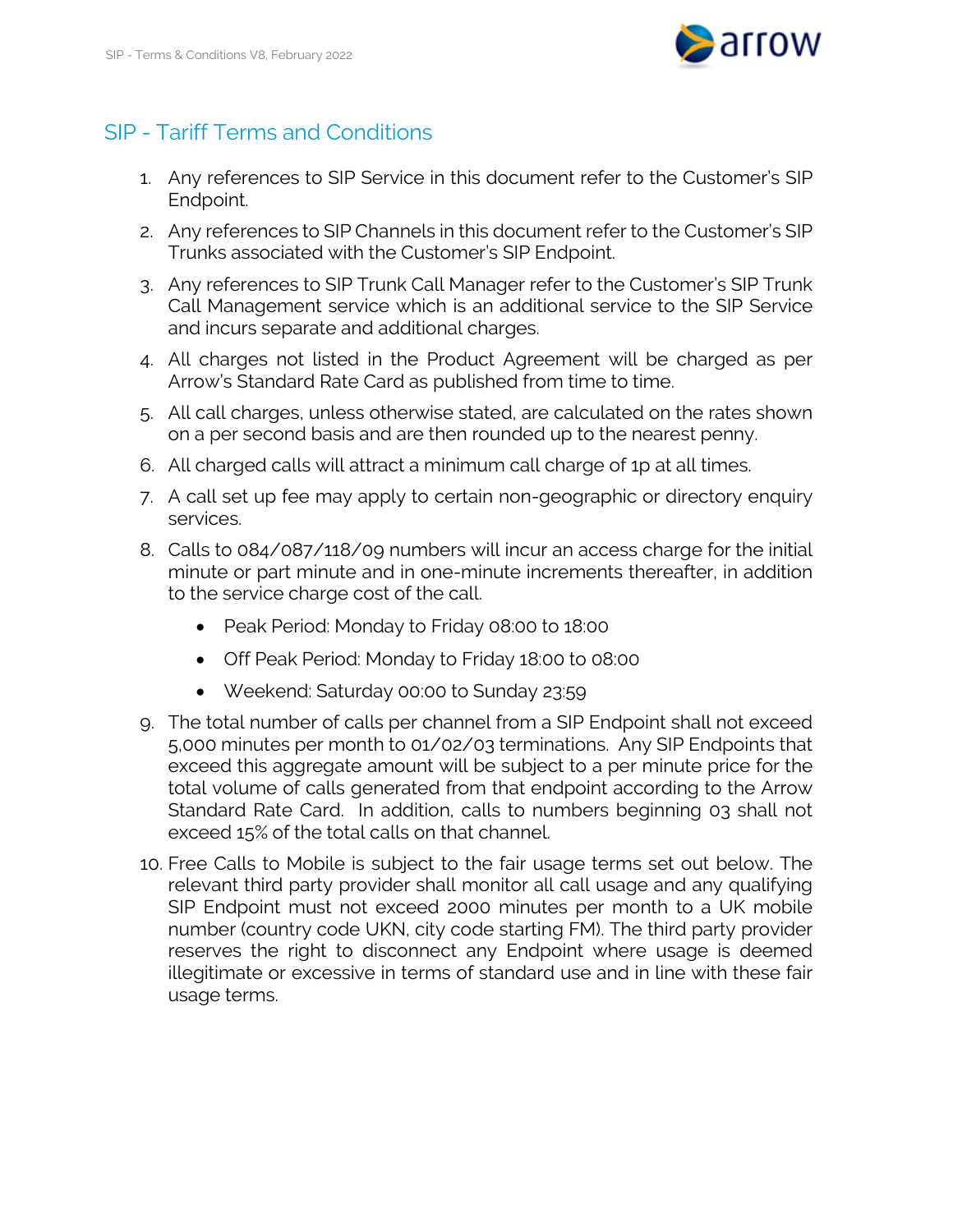

## SIP - Tariff Terms and Conditions

- 1. Any references to SIP Service in this document refer to the Customer's SIP Endpoint.
- 2. Any references to SIP Channels in this document refer to the Customer's SIP Trunks associated with the Customer's SIP Endpoint.
- 3. Any references to SIP Trunk Call Manager refer to the Customer's SIP Trunk Call Management service which is an additional service to the SIP Service and incurs separate and additional charges.
- 4. All charges not listed in the Product Agreement will be charged as per Arrow's Standard Rate Card as published from time to time.
- 5. All call charges, unless otherwise stated, are calculated on the rates shown on a per second basis and are then rounded up to the nearest penny.
- 6. All charged calls will attract a minimum call charge of 1p at all times.
- 7. A call set up fee may apply to certain non-geographic or directory enquiry services.
- 8. Calls to 084/087/118/09 numbers will incur an access charge for the initial minute or part minute and in one-minute increments thereafter, in addition to the service charge cost of the call.
	- Peak Period: Monday to Friday 08:00 to 18:00
	- Off Peak Period: Monday to Friday 18:00 to 08:00
	- Weekend: Saturday 00:00 to Sunday 23:59
- 9. The total number of calls per channel from a SIP Endpoint shall not exceed 5,000 minutes per month to 01/02/03 terminations. Any SIP Endpoints that exceed this aggregate amount will be subject to a per minute price for the total volume of calls generated from that endpoint according to the Arrow Standard Rate Card. In addition, calls to numbers beginning 03 shall not exceed 15% of the total calls on that channel.
- 10. Free Calls to Mobile is subject to the fair usage terms set out below. The relevant third party provider shall monitor all call usage and any qualifying SIP Endpoint must not exceed 2000 minutes per month to a UK mobile number (country code UKN, city code starting FM). The third party provider reserves the right to disconnect any Endpoint where usage is deemed illegitimate or excessive in terms of standard use and in line with these fair usage terms.